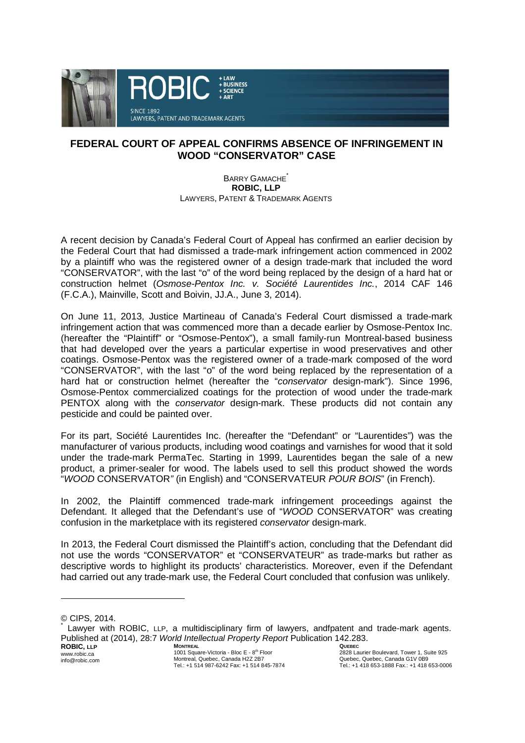

## **FEDERAL COURT OF APPEAL CONFIRMS ABSENCE OF INFRINGEMENT IN WOOD "CONSERVATOR" CASE**

BARRY GAMACHE<sup>\*</sup> **ROBIC, LLP** LAWYERS, PATENT & TRADEMARK AGENTS

A recent decision by Canada's Federal Court of Appeal has confirmed an earlier decision by the Federal Court that had dismissed a trade-mark infringement action commenced in 2002 by a plaintiff who was the registered owner of a design trade-mark that included the word "CONSERVATOR", with the last "o" of the word being replaced by the design of a hard hat or construction helmet (Osmose-Pentox Inc. v. Société Laurentides Inc., 2014 CAF 146 (F.C.A.), Mainville, Scott and Boivin, JJ.A., June 3, 2014).

On June 11, 2013, Justice Martineau of Canada's Federal Court dismissed a trade-mark infringement action that was commenced more than a decade earlier by Osmose-Pentox Inc. (hereafter the "Plaintiff" or "Osmose-Pentox"), a small family-run Montreal-based business that had developed over the years a particular expertise in wood preservatives and other coatings. Osmose-Pentox was the registered owner of a trade-mark composed of the word "CONSERVATOR", with the last "o" of the word being replaced by the representation of a hard hat or construction helmet (hereafter the "conservator design-mark"). Since 1996, Osmose-Pentox commercialized coatings for the protection of wood under the trade-mark PENTOX along with the conservator design-mark. These products did not contain any pesticide and could be painted over.

For its part, Société Laurentides Inc. (hereafter the "Defendant" or "Laurentides") was the manufacturer of various products, including wood coatings and varnishes for wood that it sold under the trade-mark PermaTec. Starting in 1999, Laurentides began the sale of a new product, a primer-sealer for wood. The labels used to sell this product showed the words "WOOD CONSERVATOR" (in English) and "CONSERVATEUR POUR BOIS" (in French).

In 2002, the Plaintiff commenced trade-mark infringement proceedings against the Defendant. It alleged that the Defendant's use of "WOOD CONSERVATOR" was creating confusion in the marketplace with its registered conservator design-mark.

In 2013, the Federal Court dismissed the Plaintiff's action, concluding that the Defendant did not use the words "CONSERVATOR" et "CONSERVATEUR" as trade-marks but rather as descriptive words to highlight its products' characteristics. Moreover, even if the Defendant had carried out any trade-mark use, the Federal Court concluded that confusion was unlikely.

l

<sup>©</sup> CIPS, 2014.

**ROBIC, LLP MONTREAL QUEBEC**  \* Lawyer with ROBIC, LLP, a multidisciplinary firm of lawyers, andfpatent and trade-mark agents. Published at (2014), 28:7 World Intellectual Property Report Publication 142.283.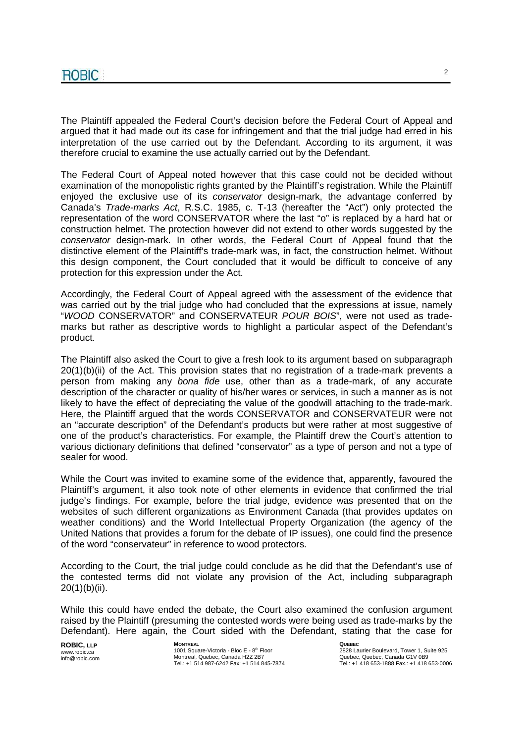The Plaintiff appealed the Federal Court's decision before the Federal Court of Appeal and argued that it had made out its case for infringement and that the trial judge had erred in his interpretation of the use carried out by the Defendant. According to its argument, it was therefore crucial to examine the use actually carried out by the Defendant.

The Federal Court of Appeal noted however that this case could not be decided without examination of the monopolistic rights granted by the Plaintiff's registration. While the Plaintiff enjoyed the exclusive use of its conservator design-mark, the advantage conferred by Canada's Trade-marks Act, R.S.C. 1985, c. T-13 (hereafter the "Act") only protected the representation of the word CONSERVATOR where the last "o" is replaced by a hard hat or construction helmet. The protection however did not extend to other words suggested by the conservator design-mark. In other words, the Federal Court of Appeal found that the distinctive element of the Plaintiff's trade-mark was, in fact, the construction helmet. Without this design component, the Court concluded that it would be difficult to conceive of any protection for this expression under the Act.

Accordingly, the Federal Court of Appeal agreed with the assessment of the evidence that was carried out by the trial judge who had concluded that the expressions at issue, namely "WOOD CONSERVATOR" and CONSERVATEUR POUR BOIS", were not used as trademarks but rather as descriptive words to highlight a particular aspect of the Defendant's product.

The Plaintiff also asked the Court to give a fresh look to its argument based on subparagraph 20(1)(b)(ii) of the Act. This provision states that no registration of a trade-mark prevents a person from making any bona fide use, other than as a trade-mark, of any accurate description of the character or quality of his/her wares or services, in such a manner as is not likely to have the effect of depreciating the value of the goodwill attaching to the trade-mark. Here, the Plaintiff argued that the words CONSERVATOR and CONSERVATEUR were not an "accurate description" of the Defendant's products but were rather at most suggestive of one of the product's characteristics. For example, the Plaintiff drew the Court's attention to various dictionary definitions that defined "conservator" as a type of person and not a type of sealer for wood.

While the Court was invited to examine some of the evidence that, apparently, favoured the Plaintiff's argument, it also took note of other elements in evidence that confirmed the trial judge's findings. For example, before the trial judge, evidence was presented that on the websites of such different organizations as Environment Canada (that provides updates on weather conditions) and the World Intellectual Property Organization (the agency of the United Nations that provides a forum for the debate of IP issues), one could find the presence of the word "conservateur" in reference to wood protectors.

According to the Court, the trial judge could conclude as he did that the Defendant's use of the contested terms did not violate any provision of the Act, including subparagraph 20(1)(b)(ii).

While this could have ended the debate, the Court also examined the confusion argument raised by the Plaintiff (presuming the contested words were being used as trade-marks by the Defendant). Here again, the Court sided with the Defendant, stating that the case for

**ROBIC, LLP** www.robic.ca info@robic.com **MONTREAL** 1001 Square-Victoria - Bloc E - 8<sup>th</sup> Floor Montreal, Quebec, Canada H2Z 2B7 Tel.: +1 514 987-6242 Fax: +1 514 845-7874 **QUEBEC**  2828 Laurier Boulevard, Tower 1, Suite 925 Quebec, Quebec, Canada G1V 0B9 Tel.: +1 418 653-1888 Fax.: +1 418 653-0006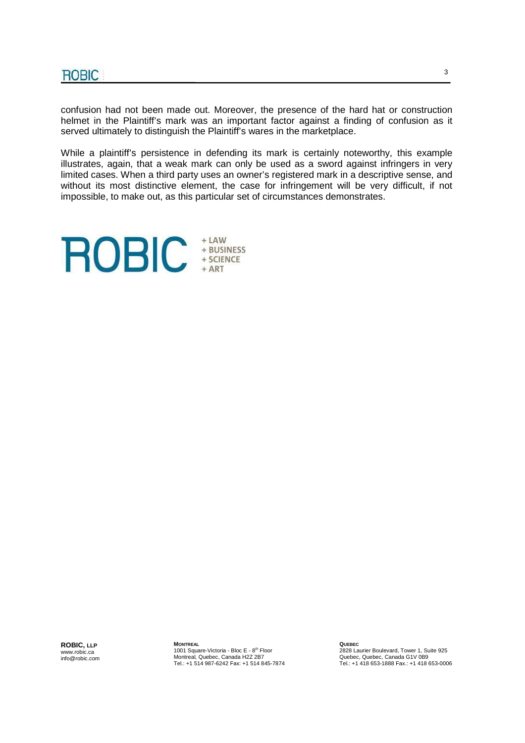confusion had not been made out. Moreover, the presence of the hard hat or construction helmet in the Plaintiff's mark was an important factor against a finding of confusion as it served ultimately to distinguish the Plaintiff's wares in the marketplace.

While a plaintiff's persistence in defending its mark is certainly noteworthy, this example illustrates, again, that a weak mark can only be used as a sword against infringers in very limited cases. When a third party uses an owner's registered mark in a descriptive sense, and without its most distinctive element, the case for infringement will be very difficult, if not impossible, to make out, as this particular set of circumstances demonstrates.



**ROBIC, LLP** www.robic.ca info@robic.com **MONTREAL** 1001 Square-Victoria - Bloc E - 8<sup>th</sup> Floor Montreal, Quebec, Canada H2Z 2B7 Tel.: +1 514 987-6242 Fax: +1 514 845-7874 **QUEBEC**  2828 Laurier Boulevard, Tower 1, Suite 925 Quebec, Quebec, Canada G1V 0B9 Tel.: +1 418 653-1888 Fax.: +1 418 653-0006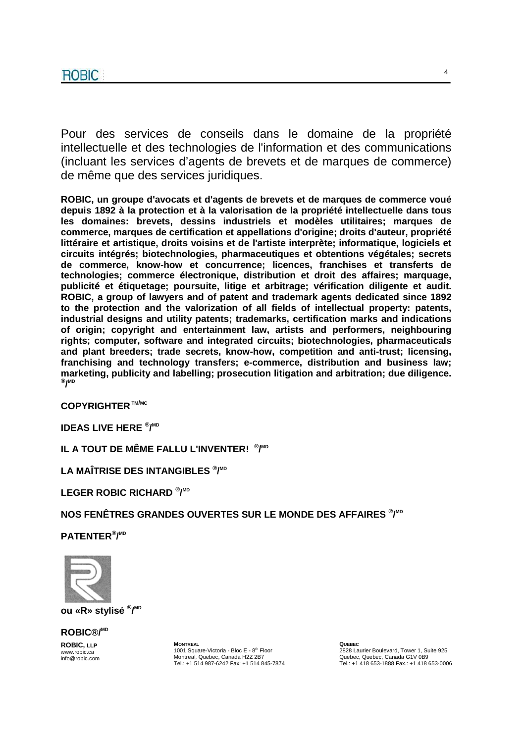Pour des services de conseils dans le domaine de la propriété intellectuelle et des technologies de l'information et des communications (incluant les services d'agents de brevets et de marques de commerce) de même que des services juridiques.

**ROBIC, un groupe d'avocats et d'agents de brevets et de marques de commerce voué depuis 1892 à la protection et à la valorisation de la propriété intellectuelle dans tous les domaines: brevets, dessins industriels et modèles utilitaires; marques de commerce, marques de certification et appellations d'origine; droits d'auteur, propriété littéraire et artistique, droits voisins et de l'artiste interprète; informatique, logiciels et circuits intégrés; biotechnologies, pharmaceutiques et obtentions végétales; secrets de commerce, know-how et concurrence; licences, franchises et transferts de technologies; commerce électronique, distribution et droit des affaires; marquage, publicité et étiquetage; poursuite, litige et arbitrage; vérification diligente et audit. ROBIC, a group of lawyers and of patent and trademark agents dedicated since 1892 to the protection and the valorization of all fields of intellectual property: patents, industrial designs and utility patents; trademarks, certification marks and indications of origin; copyright and entertainment law, artists and performers, neighbouring rights; computer, software and integrated circuits; biotechnologies, pharmaceuticals and plant breeders; trade secrets, know-how, competition and anti-trust; licensing, franchising and technology transfers; e-commerce, distribution and business law; marketing, publicity and labelling; prosecution litigation and arbitration; due diligence. ® / MD**

**COPYRIGHTER TM/MC**

**IDEAS LIVE HERE ® / MD**

**IL A TOUT DE MÊME FALLU L'INVENTER! ® / MD**

**LA MAÎTRISE DES INTANGIBLES ® / MD**

**LEGER ROBIC RICHARD ® / MD**

**NOS FENÊTRES GRANDES OUVERTES SUR LE MONDE DES AFFAIRES ® / MD**

**PATENTER® / MD**



**ou «R» stylisé ® / MD**

**ROBIC®/MD**

**ROBIC, LLP** www.robic.ca info@robic.com **MONTREAL** 1001 Square-Victoria - Bloc E - 8<sup>th</sup> Floor Montreal, Quebec, Canada H2Z 2B7 Tel.: +1 514 987-6242 Fax: +1 514 845-7874 **QUEBEC**  2828 Laurier Boulevard, Tower 1, Suite 925 Quebec, Quebec, Canada G1V 0B9 Tel.: +1 418 653-1888 Fax.: +1 418 653-0006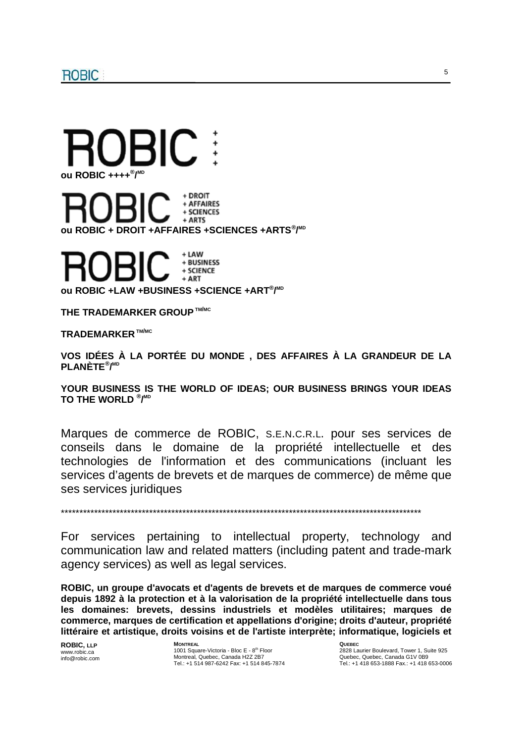

+ LAW + BUSINESS + SCIENCE + ART

**ou ROBIC +LAW +BUSINESS +SCIENCE +ART® / MD**

**THE TRADEMARKER GROUP TM/MC**

**TRADEMARKER TM/MC**

**VOS IDÉES À LA PORTÉE DU MONDE , DES AFFAIRES À LA GRANDEUR DE LA PLANÈTE® / MD**

**YOUR BUSINESS IS THE WORLD OF IDEAS; OUR BUSINESS BRINGS YOUR IDEAS TO THE WORLD ® / MD**

Marques de commerce de ROBIC, S.E.N.C.R.L. pour ses services de conseils dans le domaine de la propriété intellectuelle et des technologies de l'information et des communications (incluant les services d'agents de brevets et de marques de commerce) de même que ses services juridiques

\*\*\*\*\*\*\*\*\*\*\*\*\*\*\*\*\*\*\*\*\*\*\*\*\*\*\*\*\*\*\*\*\*\*\*\*\*\*\*\*\*\*\*\*\*\*\*\*\*\*\*\*\*\*\*\*\*\*\*\*\*\*\*\*\*\*\*\*\*\*\*\*\*\*\*\*\*\*\*\*\*\*\*\*\*\*\*\*\*\*\*\*\*\*\*\*\*\*

For services pertaining to intellectual property, technology and communication law and related matters (including patent and trade-mark agency services) as well as legal services.

**ROBIC, un groupe d'avocats et d'agents de brevets et de marques de commerce voué depuis 1892 à la protection et à la valorisation de la propriété intellectuelle dans tous les domaines: brevets, dessins industriels et modèles utilitaires; marques de commerce, marques de certification et appellations d'origine; droits d'auteur, propriété littéraire et artistique, droits voisins et de l'artiste interprète; informatique, logiciels et** 

**ROBIC, LLP** www.robic.ca info@robic.com **MONTREAL** 1001 Square-Victoria - Bloc E - 8<sup>th</sup> Floor Montreal, Quebec, Canada H2Z 2B7 Tel.: +1 514 987-6242 Fax: +1 514 845-7874 **QUEBEC**  2828 Laurier Boulevard, Tower 1, Suite 925 Quebec, Quebec, Canada G1V 0B9 Tel.: +1 418 653-1888 Fax.: +1 418 653-0006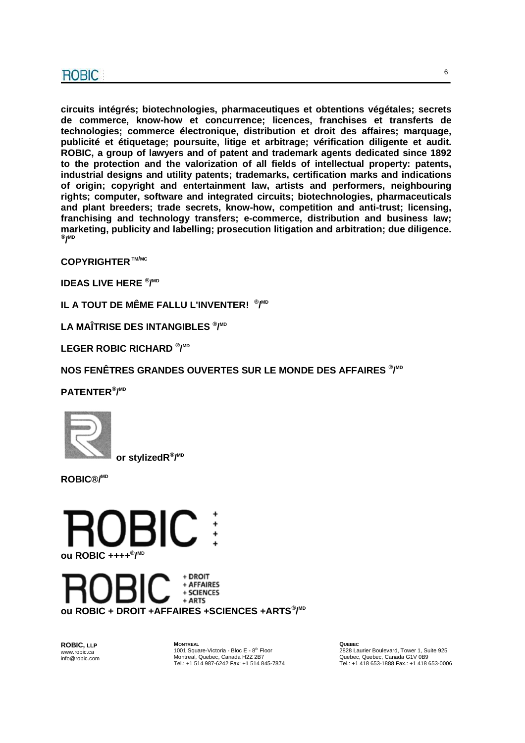**circuits intégrés; biotechnologies, pharmaceutiques et obtentions végétales; secrets de commerce, know-how et concurrence; licences, franchises et transferts de technologies; commerce électronique, distribution et droit des affaires; marquage, publicité et étiquetage; poursuite, litige et arbitrage; vérification diligente et audit. ROBIC, a group of lawyers and of patent and trademark agents dedicated since 1892 to the protection and the valorization of all fields of intellectual property: patents, industrial designs and utility patents; trademarks, certification marks and indications of origin; copyright and entertainment law, artists and performers, neighbouring rights; computer, software and integrated circuits; biotechnologies, pharmaceuticals and plant breeders; trade secrets, know-how, competition and anti-trust; licensing, franchising and technology transfers; e-commerce, distribution and business law; marketing, publicity and labelling; prosecution litigation and arbitration; due diligence. ® / MD**

**COPYRIGHTER TM/MC**

**IDEAS LIVE HERE ® / MD**

**IL A TOUT DE MÊME FALLU L'INVENTER! ® / MD**

**LA MAÎTRISE DES INTANGIBLES ® / MD**

**LEGER ROBIC RICHARD ® / MD**

**NOS FENÊTRES GRANDES OUVERTES SUR LE MONDE DES AFFAIRES ® / MD**

**PATENTER® / MD** 



 **or stylizedR® / MD**

**ROBIC®/MD**



+ DROIT + AFFAIRES + SCIENCES + ARTS **ou ROBIC + DROIT +AFFAIRES +SCIENCES +ARTS® / MD**

**ROBIC, LLP** www.robic.ca info@robic.com **MONTREAL** 1001 Square-Victoria - Bloc E - 8<sup>th</sup> Floor Montreal, Quebec, Canada H2Z 2B7 Tel.: +1 514 987-6242 Fax: +1 514 845-7874 **QUEBEC**  2828 Laurier Boulevard, Tower 1, Suite 925 Quebec, Quebec, Canada G1V 0B9 Tel.: +1 418 653-1888 Fax.: +1 418 653-0006